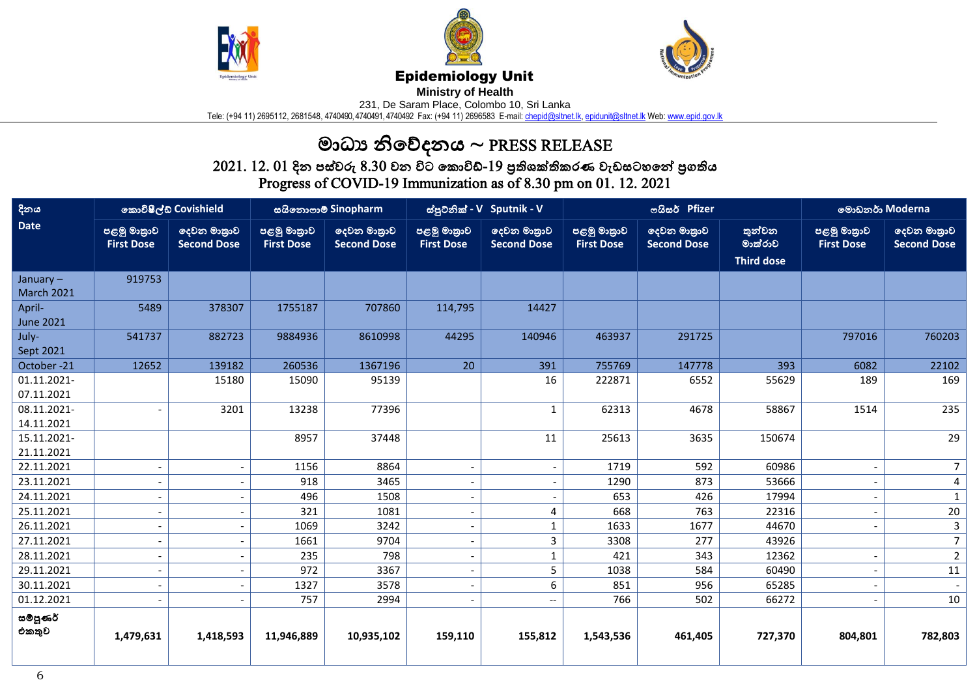





## Epidemiology Unit

**Ministry of Health** 

231, De Saram Place, Colombo 10, Sri Lanka

Tele: (+94 11) 2695112, 2681548, 4740490, 4740491, 4740492 Fax: (+94 11) 2696583 E-mail: <u>chepid@sltnet.lk, [epidunit@sltnet.lk](mailto:epidunit@sltnet.lk)</u> Web: <u>www.epid.gov.lk</u>

## මාධ්ය නිවේදනය ~ PRESS RELEASE

 $2021.\ 12.\ 01$  දින පස්වරු  $8.30$  වන විට කොවිඩ්- $19$  පුතිශක්තිකරණ වැඩසටහනේ පුගතිය Progress of COVID-19 Immunization as of 8.30 pm on 01. 12. 2021

| දිනය                          | කොවිෂීල්ඩ් Covishield            |                                   | සයිනොෆාම් Sinopharm              |                                   | ස්පුටනික් - V Sputnik - V        |                                   | ოයිසර් Pfizer                    |                                   |                                        | මොඩනර් Moderna                   |                                   |
|-------------------------------|----------------------------------|-----------------------------------|----------------------------------|-----------------------------------|----------------------------------|-----------------------------------|----------------------------------|-----------------------------------|----------------------------------------|----------------------------------|-----------------------------------|
| <b>Date</b>                   | පළමු මාතුාව<br><b>First Dose</b> | ලදවන මාතුාව<br><b>Second Dose</b> | පළමු මාතුාව<br><b>First Dose</b> | දෙවන මාතුාව<br><b>Second Dose</b> | පළමු මාතුාව<br><b>First Dose</b> | දෙවන මාතුාව<br><b>Second Dose</b> | පළමු මාතුාව<br><b>First Dose</b> | ලදවන මාතුාව<br><b>Second Dose</b> | තුන්වන<br>මාක්රාව<br><b>Third dose</b> | පළමු මාතුාව<br><b>First Dose</b> | දෙවන මාතුාව<br><b>Second Dose</b> |
| January-<br><b>March 2021</b> | 919753                           |                                   |                                  |                                   |                                  |                                   |                                  |                                   |                                        |                                  |                                   |
| April-<br><b>June 2021</b>    | 5489                             | 378307                            | 1755187                          | 707860                            | 114,795                          | 14427                             |                                  |                                   |                                        |                                  |                                   |
| July-<br>Sept 2021            | 541737                           | 882723                            | 9884936                          | 8610998                           | 44295                            | 140946                            | 463937                           | 291725                            |                                        | 797016                           | 760203                            |
| October-21                    | 12652                            | 139182                            | 260536                           | 1367196                           | 20                               | 391                               | 755769                           | 147778                            | 393                                    | 6082                             | 22102                             |
| 01.11.2021-<br>07.11.2021     |                                  | 15180                             | 15090                            | 95139                             |                                  | 16                                | 222871                           | 6552                              | 55629                                  | 189                              | 169                               |
| 08.11.2021-<br>14.11.2021     |                                  | 3201                              | 13238                            | 77396                             |                                  | $\mathbf 1$                       | 62313                            | 4678                              | 58867                                  | 1514                             | 235                               |
| 15.11.2021-<br>21.11.2021     |                                  |                                   | 8957                             | 37448                             |                                  | 11                                | 25613                            | 3635                              | 150674                                 |                                  | 29                                |
| 22.11.2021                    | $\overline{\phantom{a}}$         |                                   | 1156                             | 8864                              |                                  | $\overline{\phantom{a}}$          | 1719                             | 592                               | 60986                                  |                                  | 7 <sup>1</sup>                    |
| 23.11.2021                    | $\overline{\phantom{a}}$         |                                   | 918                              | 3465                              |                                  | $\overline{\phantom{a}}$          | 1290                             | 873                               | 53666                                  |                                  | 4                                 |
| 24.11.2021                    | $\overline{\phantom{a}}$         |                                   | 496                              | 1508                              |                                  | $\overline{\phantom{a}}$          | 653                              | 426                               | 17994                                  |                                  | $\mathbf{1}$                      |
| 25.11.2021                    | $\overline{\phantom{a}}$         |                                   | 321                              | 1081                              | $\overline{\phantom{a}}$         | 4                                 | 668                              | 763                               | 22316                                  |                                  | 20                                |
| 26.11.2021                    | $\overline{a}$                   |                                   | 1069                             | 3242                              |                                  | $\mathbf{1}$                      | 1633                             | 1677                              | 44670                                  |                                  | 3                                 |
| 27.11.2021                    | $\overline{\phantom{a}}$         |                                   | 1661                             | 9704                              |                                  | $\overline{3}$                    | 3308                             | 277                               | 43926                                  |                                  | 7 <sup>1</sup>                    |
| 28.11.2021                    | $\overline{\phantom{a}}$         |                                   | 235                              | 798                               |                                  | $\mathbf{1}$                      | 421                              | 343                               | 12362                                  |                                  | 2 <sup>1</sup>                    |
| 29.11.2021                    | $\overline{\phantom{a}}$         |                                   | 972                              | 3367                              |                                  | 5                                 | 1038                             | 584                               | 60490                                  |                                  | 11                                |
| 30.11.2021                    | $\overline{\phantom{a}}$         |                                   | 1327                             | 3578                              |                                  | 6                                 | 851                              | 956                               | 65285                                  |                                  |                                   |
| 01.12.2021                    | $\overline{\phantom{a}}$         |                                   | 757                              | 2994                              | $\overline{\phantom{a}}$         | $\overline{\phantom{a}}$          | 766                              | 502                               | 66272                                  | $\overline{\phantom{a}}$         | 10                                |
| සම්පූණර්<br>එකතුව             | 1,479,631                        | 1,418,593                         | 11,946,889                       | 10,935,102                        | 159,110                          | 155,812                           | 1,543,536                        | 461,405                           | 727,370                                | 804,801                          | 782,803                           |